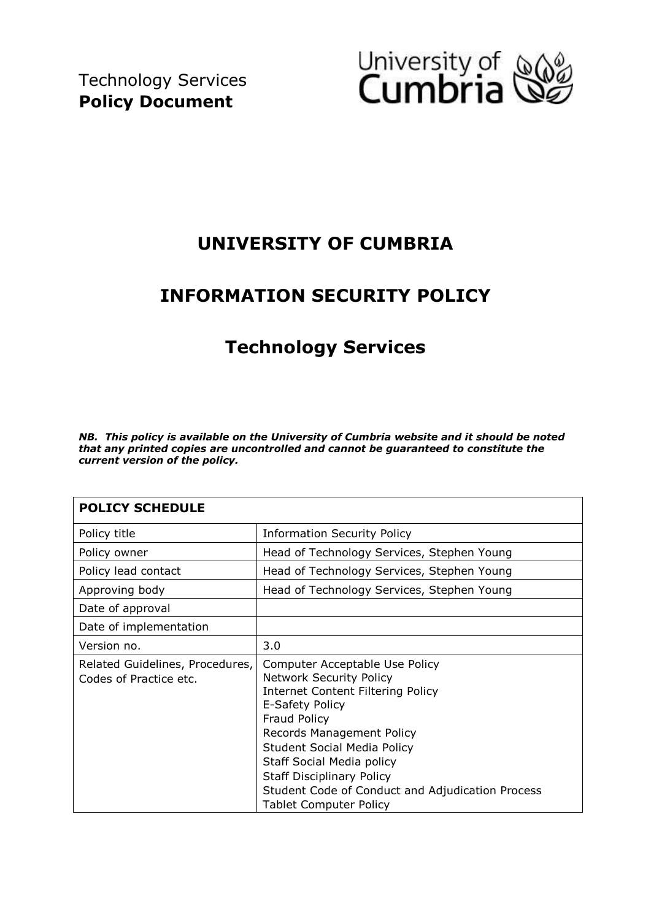

# **UNIVERSITY OF CUMBRIA**

# **INFORMATION SECURITY POLICY**

# **Technology Services**

*NB. This policy is available on the University of Cumbria website and it should be noted that any printed copies are uncontrolled and cannot be guaranteed to constitute the current version of the policy.* 

| <b>POLICY SCHEDULE</b>                                    |                                                                                                                                                                                                                                                                                                                                                                          |
|-----------------------------------------------------------|--------------------------------------------------------------------------------------------------------------------------------------------------------------------------------------------------------------------------------------------------------------------------------------------------------------------------------------------------------------------------|
| Policy title                                              | <b>Information Security Policy</b>                                                                                                                                                                                                                                                                                                                                       |
| Policy owner                                              | Head of Technology Services, Stephen Young                                                                                                                                                                                                                                                                                                                               |
| Policy lead contact                                       | Head of Technology Services, Stephen Young                                                                                                                                                                                                                                                                                                                               |
| Approving body                                            | Head of Technology Services, Stephen Young                                                                                                                                                                                                                                                                                                                               |
| Date of approval                                          |                                                                                                                                                                                                                                                                                                                                                                          |
| Date of implementation                                    |                                                                                                                                                                                                                                                                                                                                                                          |
| Version no.                                               | 3.0                                                                                                                                                                                                                                                                                                                                                                      |
| Related Guidelines, Procedures,<br>Codes of Practice etc. | Computer Acceptable Use Policy<br><b>Network Security Policy</b><br><b>Internet Content Filtering Policy</b><br>E-Safety Policy<br>Fraud Policy<br>Records Management Policy<br><b>Student Social Media Policy</b><br>Staff Social Media policy<br><b>Staff Disciplinary Policy</b><br>Student Code of Conduct and Adjudication Process<br><b>Tablet Computer Policy</b> |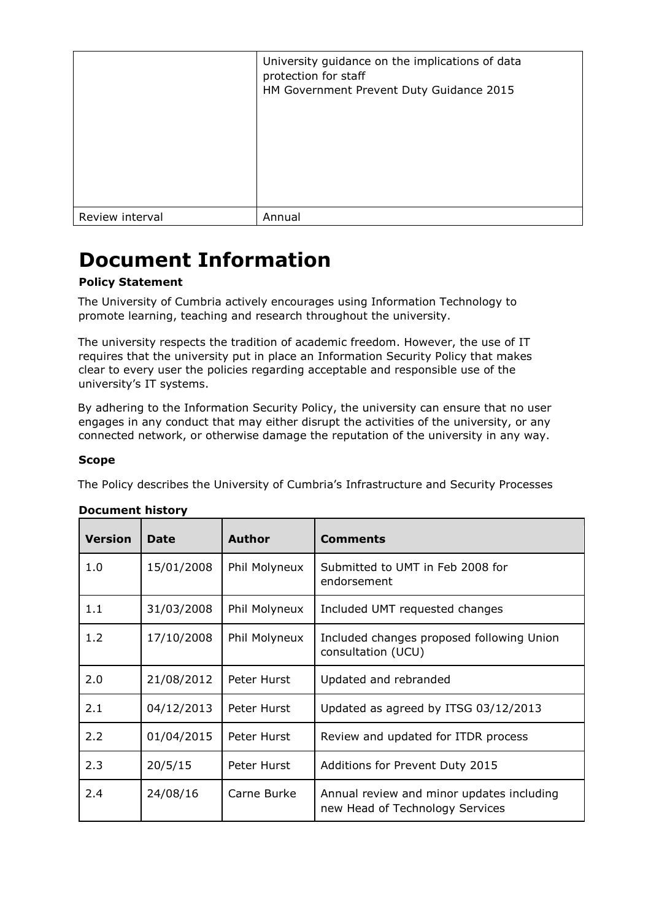|                 | University guidance on the implications of data<br>protection for staff<br>HM Government Prevent Duty Guidance 2015 |
|-----------------|---------------------------------------------------------------------------------------------------------------------|
| Review interval | Annual                                                                                                              |

# **Document Information**

## **Policy Statement**

The University of Cumbria actively encourages using Information Technology to promote learning, teaching and research throughout the university.

The university respects the tradition of academic freedom. However, the use of IT requires that the university put in place an Information Security Policy that makes clear to every user the policies regarding acceptable and responsible use of the university's IT systems.

By adhering to the Information Security Policy, the university can ensure that no user engages in any conduct that may either disrupt the activities of the university, or any connected network, or otherwise damage the reputation of the university in any way.

#### **Scope**

The Policy describes the University of Cumbria's Infrastructure and Security Processes

| <b>Version</b> | <b>Date</b> | <b>Author</b> | <b>Comments</b>                                                              |
|----------------|-------------|---------------|------------------------------------------------------------------------------|
| 1.0            | 15/01/2008  | Phil Molyneux | Submitted to UMT in Feb 2008 for<br>endorsement                              |
| 1.1            | 31/03/2008  | Phil Molyneux | Included UMT requested changes                                               |
| 1.2            | 17/10/2008  | Phil Molyneux | Included changes proposed following Union<br>consultation (UCU)              |
| 2.0            | 21/08/2012  | Peter Hurst   | Updated and rebranded                                                        |
| 2.1            | 04/12/2013  | Peter Hurst   | Updated as agreed by ITSG 03/12/2013                                         |
| 2.2            | 01/04/2015  | Peter Hurst   | Review and updated for ITDR process                                          |
| 2.3            | 20/5/15     | Peter Hurst   | Additions for Prevent Duty 2015                                              |
| 2.4            | 24/08/16    | Carne Burke   | Annual review and minor updates including<br>new Head of Technology Services |

#### **Document history**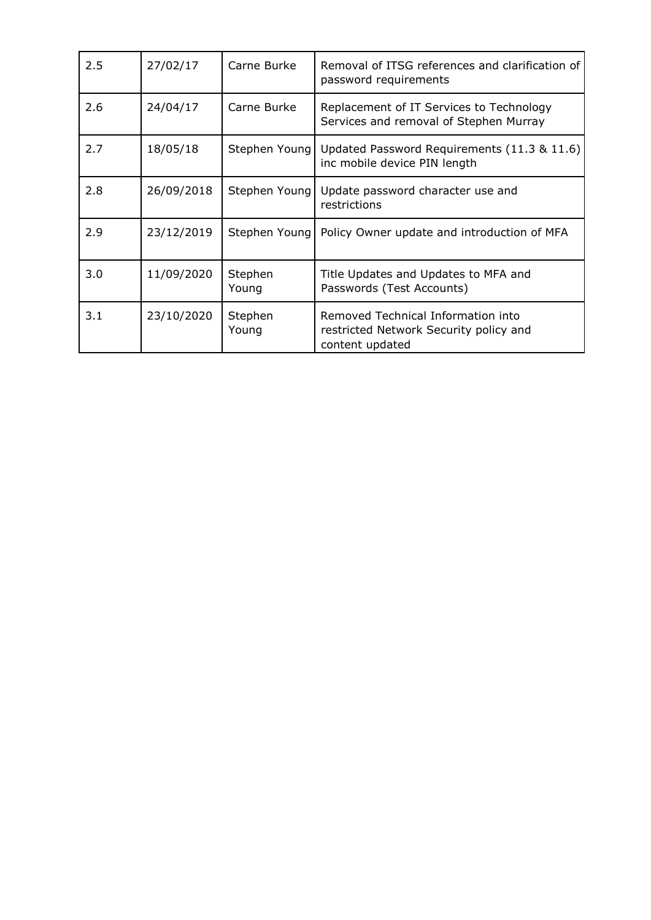| 2.5 | 27/02/17   | Carne Burke      | Removal of ITSG references and clarification of<br>password requirements                        |
|-----|------------|------------------|-------------------------------------------------------------------------------------------------|
| 2.6 | 24/04/17   | Carne Burke      | Replacement of IT Services to Technology<br>Services and removal of Stephen Murray              |
| 2.7 | 18/05/18   | Stephen Young    | Updated Password Requirements (11.3 & 11.6)<br>inc mobile device PIN length                     |
| 2.8 | 26/09/2018 | Stephen Young    | Update password character use and<br>restrictions                                               |
| 2.9 | 23/12/2019 | Stephen Young    | Policy Owner update and introduction of MFA                                                     |
| 3.0 | 11/09/2020 | Stephen<br>Young | Title Updates and Updates to MFA and<br>Passwords (Test Accounts)                               |
| 3.1 | 23/10/2020 | Stephen<br>Young | Removed Technical Information into<br>restricted Network Security policy and<br>content updated |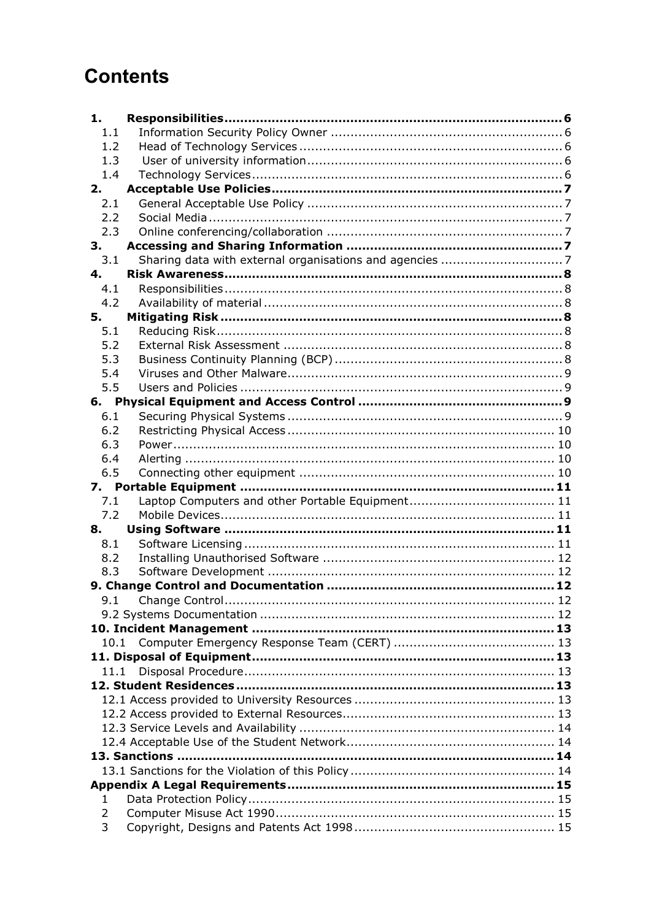# **Contents**

| 1.   |  |
|------|--|
| 1.1  |  |
| 1.2  |  |
| 1.3  |  |
| 1.4  |  |
| 2.   |  |
| 2.1  |  |
| 2.2  |  |
| 2.3  |  |
| 3.   |  |
| 3.1  |  |
| 4.   |  |
| 4.1  |  |
| 4.2  |  |
| 5.   |  |
| 5.1  |  |
| 5.2  |  |
| 5.3  |  |
| 5.4  |  |
| 5.5  |  |
|      |  |
| 6.1  |  |
| 6.2  |  |
| 6.3  |  |
| 6.4  |  |
| 6.5  |  |
|      |  |
| 7.1  |  |
| 7.2  |  |
| 8.   |  |
| 8.1  |  |
| 8.2  |  |
| 8.3  |  |
|      |  |
|      |  |
|      |  |
|      |  |
| 10.1 |  |
|      |  |
| 11.1 |  |
|      |  |
|      |  |
|      |  |
|      |  |
|      |  |
|      |  |
|      |  |
|      |  |
| 1    |  |
| 2    |  |
| 3    |  |
|      |  |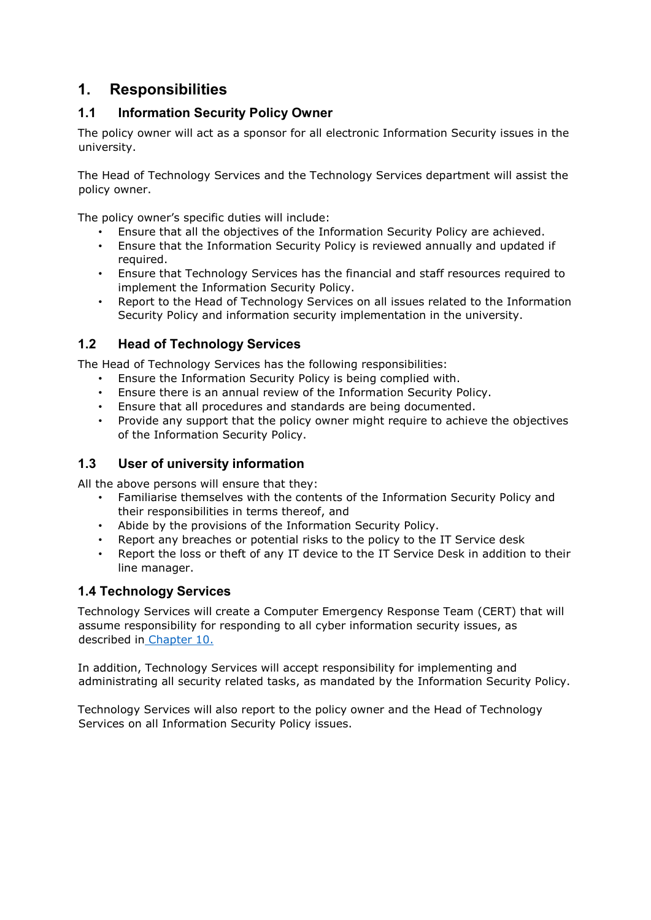# <span id="page-5-0"></span>**1. Responsibilities**

# <span id="page-5-1"></span>**1.1 Information Security Policy Owner**

The policy owner will act as a sponsor for all electronic Information Security issues in the university.

The Head of Technology Services and the Technology Services department will assist the policy owner.

The policy owner's specific duties will include:

- Ensure that all the objectives of the Information Security Policy are achieved.
- Ensure that the Information Security Policy is reviewed annually and updated if required.
- Ensure that Technology Services has the financial and staff resources required to implement the Information Security Policy.
- Report to the Head of Technology Services on all issues related to the Information Security Policy and information security implementation in the university.

# <span id="page-5-2"></span>**1.2 Head of Technology Services**

The Head of Technology Services has the following responsibilities:

- Ensure the Information Security Policy is being complied with.
- Ensure there is an annual review of the Information Security Policy.
- Ensure that all procedures and standards are being documented.
- Provide any support that the policy owner might require to achieve the objectives of the Information Security Policy.

# <span id="page-5-3"></span>**1.3 User of university information**

All the above persons will ensure that they:

- Familiarise themselves with the contents of the Information Security Policy and their responsibilities in terms thereof, and
- Abide by the provisions of the Information Security Policy.
- Report any breaches or potential risks to the policy to the IT Service desk
- Report the loss or theft of any IT device to the IT Service Desk in addition to their line manager.

# <span id="page-5-4"></span>**1.4 Technology Services**

Technology Services will create a Computer Emergency Response Team (CERT) that will assume responsibility for responding to all cyber information security issues, as described in [Chapter 10.](#page-12-0)

In addition, Technology Services will accept responsibility for implementing and administrating all security related tasks, as mandated by the Information Security Policy.

Technology Services will also report to the policy owner and the Head of Technology Services on all Information Security Policy issues.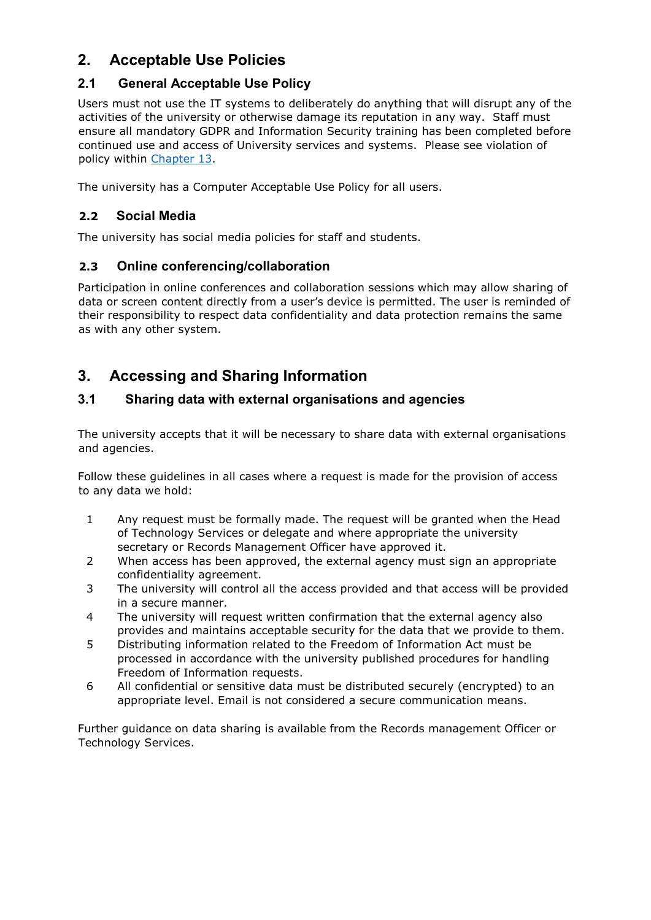# <span id="page-6-0"></span>**2. Acceptable Use Policies**

# <span id="page-6-1"></span>**2.1 General Acceptable Use Policy**

Users must not use the IT systems to deliberately do anything that will disrupt any of the activities of the university or otherwise damage its reputation in any way. Staff must ensure all mandatory GDPR and Information Security training has been completed before continued use and access of University services and systems. Please see violation of policy within [Chapter 13.](#page-13-2)

The university has a Computer Acceptable Use Policy for all users.

# <span id="page-6-2"></span>**2.2 Social Media**

The university has social media policies for staff and student[s.](http://www.cumbria.ac.uk/Public/LISS/Documents/Policies/StudentSocialMediaPolicy.doc)

# <span id="page-6-3"></span>**2.3 Online conferencing/collaboration**

Participation in online conferences and collaboration sessions which may allow sharing of data or screen content directly from a user's device is permitted. The user is reminded of their responsibility to respect data confidentiality and data protection remains the same as with any other system.

# <span id="page-6-4"></span>**3. Accessing and Sharing Information**

# <span id="page-6-5"></span>**3.1 Sharing data with external organisations and agencies**

The university accepts that it will be necessary to share data with external organisations and agencies.

Follow these guidelines in all cases where a request is made for the provision of access to any data we hold:

- 1 Any request must be formally made. The request will be granted when the Head of Technology Services or delegate and where appropriate the university secretary or Records Management Officer have approved it.
- 2 When access has been approved, the external agency must sign an appropriate confidentiality agreement.
- 3 The university will control all the access provided and that access will be provided in a secure manner.
- 4 The university will request written confirmation that the external agency also provides and maintains acceptable security for the data that we provide to them.
- 5 Distributing information related to the Freedom of Information Act must be processed in accordance with the university published procedures for handling Freedom of Information requests.
- 6 All confidential or sensitive data must be distributed securely (encrypted) to an appropriate level. Email is not considered a secure communication means.

Further guidance on data sharing is available from the Records management Officer [o](http://staff.cumbria.ac.uk/Services/VCO/GovernanceCompliance/DataProtection/Home.aspx)r Technology Services.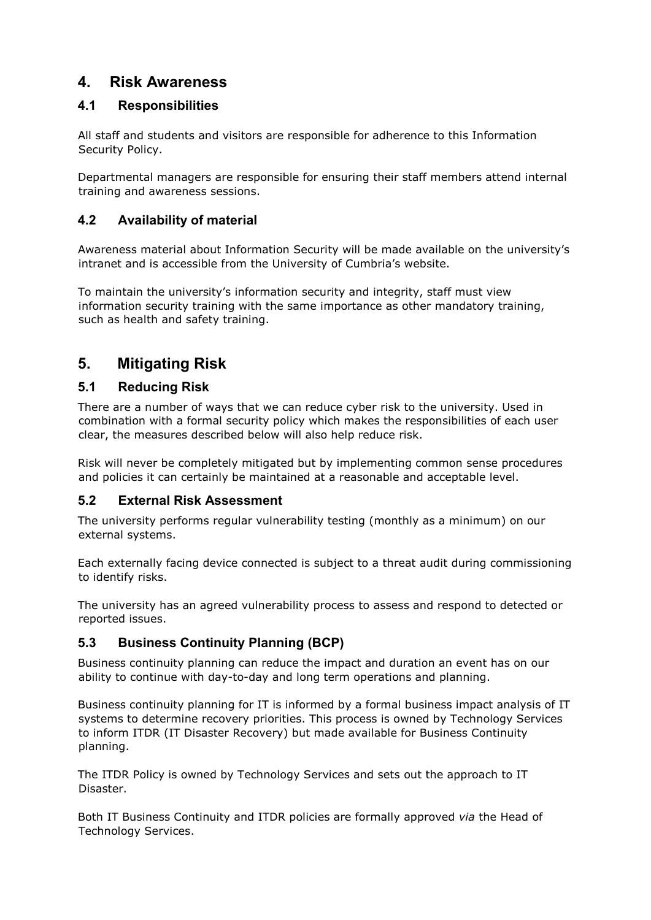# <span id="page-7-0"></span>**4. Risk Awareness**

# <span id="page-7-1"></span>**4.1 Responsibilities**

All staff and students and visitors are responsible for adherence to this Information Security Policy.

Departmental managers are responsible for ensuring their staff members attend internal training and awareness sessions.

# <span id="page-7-2"></span>**4.2 Availability of material**

Awareness material about Information Security will be made available on the university's intranet and is accessible from th[e](http://staff.cumbria.ac.uk/Services/VCO/GovernanceCompliance/DataProtection/Home.aspx) University of Cumbria's website.

To maintain the university's information security and integrity, staff must view information security training with the same importance as other mandatory training, such as health and safety training.

# <span id="page-7-3"></span>**5. Mitigating Risk**

# <span id="page-7-4"></span>**5.1 Reducing Risk**

There are a number of ways that we can reduce cyber risk to the university. Used in combination with a formal security policy which makes the responsibilities of each user clear, the measures described below will also help reduce risk.

Risk will never be completely mitigated but by implementing common sense procedures and policies it can certainly be maintained at a reasonable and acceptable level.

## <span id="page-7-5"></span>**5.2 External Risk Assessment**

The university performs regular vulnerability testing (monthly as a minimum) on our external systems.

Each externally facing device connected is subject to a threat audit during commissioning to identify risks.

The university has an agreed vulnerability process to assess and respond to detected or reported issues.

## <span id="page-7-6"></span>**5.3 Business Continuity Planning (BCP)**

Business continuity planning can reduce the impact and duration an event has on our ability to continue with day-to-day and long term operations and planning.

Business continuity planning for IT is informed by a formal business impact analysis of IT systems to determine recovery priorities. This process is owned by Technology Services to inform ITDR (IT Disaster Recovery) but made available for Business Continuity planning.

The ITDR Policy is owned by Technology Services and sets out the approach to IT Disaster.

Both IT Business Continuity and ITDR policies are formally approved *via* the Head of Technology Services.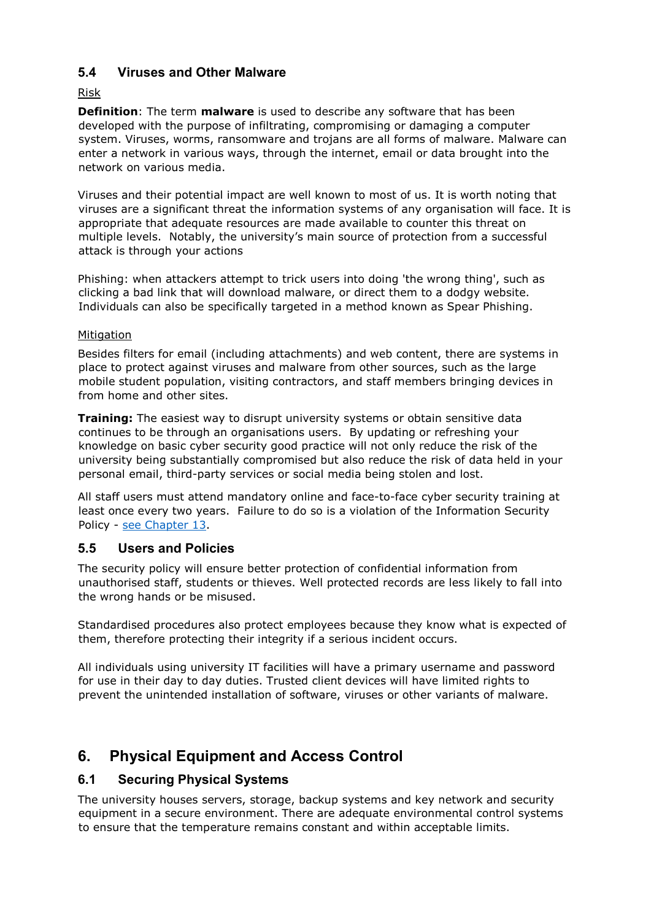# <span id="page-8-0"></span>**5.4 Viruses and Other Malware**

#### Risk

**Definition**: The term **malware** is used to describe any software that has been developed with the purpose of infiltrating, compromising or damaging a computer system. Viruses, worms, ransomware and trojans are all forms of malware. Malware can enter a network in various ways, through the internet, email or data brought into the network on various media.

Viruses and their potential impact are well known to most of us. It is worth noting that viruses are a significant threat the information systems of any organisation will face. It is appropriate that adequate resources are made available to counter this threat on multiple levels. Notably, the university's main source of protection from a successful attack is through your actions

Phishing: when attackers attempt to trick users into doing 'the wrong thing', such as clicking a bad link that will download malware, or direct them to a dodgy website. Individuals can also be specifically targeted in a method known as Spear Phishing.

#### **Mitigation**

Besides filters for email (including attachments) and web content, there are systems in place to protect against viruses and malware from other sources, such as the large mobile student population, visiting contractors, and staff members bringing devices in from home and other sites.

**Training:** The easiest way to disrupt university systems or obtain sensitive data continues to be through an organisations users. By updating or refreshing your knowledge on basic cyber security good practice will not only reduce the risk of the university being substantially compromised but also reduce the risk of data held in your personal email, third-party services or social media being stolen and lost.

All staff users must attend mandatory online and face-to-face cyber security training at least once every two years. Failure to do so is a violation of the Information Security Policy - [see Chapter 13.](#page-13-2)

## <span id="page-8-1"></span>**5.5 Users and Policies**

The security policy will ensure better protection of confidential information from unauthorised staff, students or thieves. Well protected records are less likely to fall into the wrong hands or be misused.

Standardised procedures also protect employees because they know what is expected of them, therefore protecting their integrity if a serious incident occurs.

All individuals using university IT facilities will have a primary username and password for use in their day to day duties. Trusted client devices will have limited rights to prevent the unintended installation of software, viruses or other variants of malware.

# <span id="page-8-2"></span>**6. Physical Equipment and Access Control**

## <span id="page-8-3"></span>**6.1 Securing Physical Systems**

The university houses servers, storage, backup systems and key network and security equipment in a secure environment. There are adequate environmental control systems to ensure that the temperature remains constant and within acceptable limits.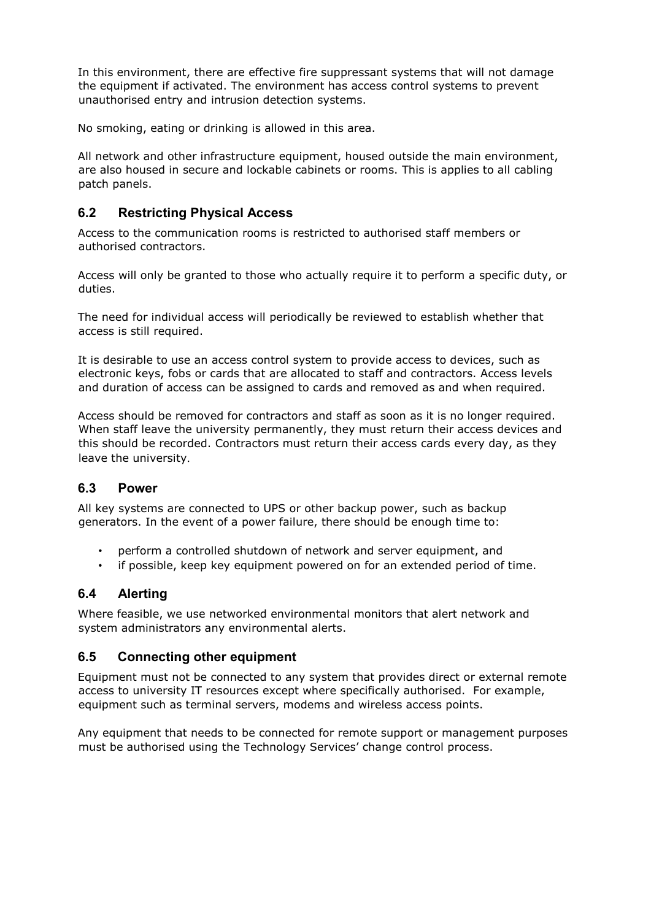In this environment, there are effective fire suppressant systems that will not damage the equipment if activated. The environment has access control systems to prevent unauthorised entry and intrusion detection systems.

No smoking, eating or drinking is allowed in this area.

All network and other infrastructure equipment, housed outside the main environment, are also housed in secure and lockable cabinets or rooms. This is applies to all cabling patch panels.

#### <span id="page-9-0"></span>**6.2 Restricting Physical Access**

Access to the communication rooms is restricted to authorised staff members or authorised contractors.

Access will only be granted to those who actually require it to perform a specific duty, or duties.

The need for individual access will periodically be reviewed to establish whether that access is still required.

It is desirable to use an access control system to provide access to devices, such as electronic keys, fobs or cards that are allocated to staff and contractors. Access levels and duration of access can be assigned to cards and removed as and when required.

Access should be removed for contractors and staff as soon as it is no longer required. When staff leave the university permanently, they must return their access devices and this should be recorded. Contractors must return their access cards every day, as they leave the university.

#### <span id="page-9-1"></span>**6.3 Power**

All key systems are connected to UPS or other backup power, such as backup generators. In the event of a power failure, there should be enough time to:

- perform a controlled shutdown of network and server equipment, and
- if possible, keep key equipment powered on for an extended period of time.

## <span id="page-9-2"></span>**6.4 Alerting**

Where feasible, we use networked environmental monitors that alert network and system administrators any environmental alerts.

#### <span id="page-9-3"></span>**6.5 Connecting other equipment**

Equipment must not be connected to any system that provides direct or external remote access to university IT resources except where specifically authorised. For example, equipment such as terminal servers, modems and wireless access points.

Any equipment that needs to be connected for remote support or management purposes must be authorised using the Technology Services' change control proces[s.](http://staff.cumbria.ac.uk/Services/IT/ServiceCatalogue/BusinessProcesses/ITChangeManagement.aspx)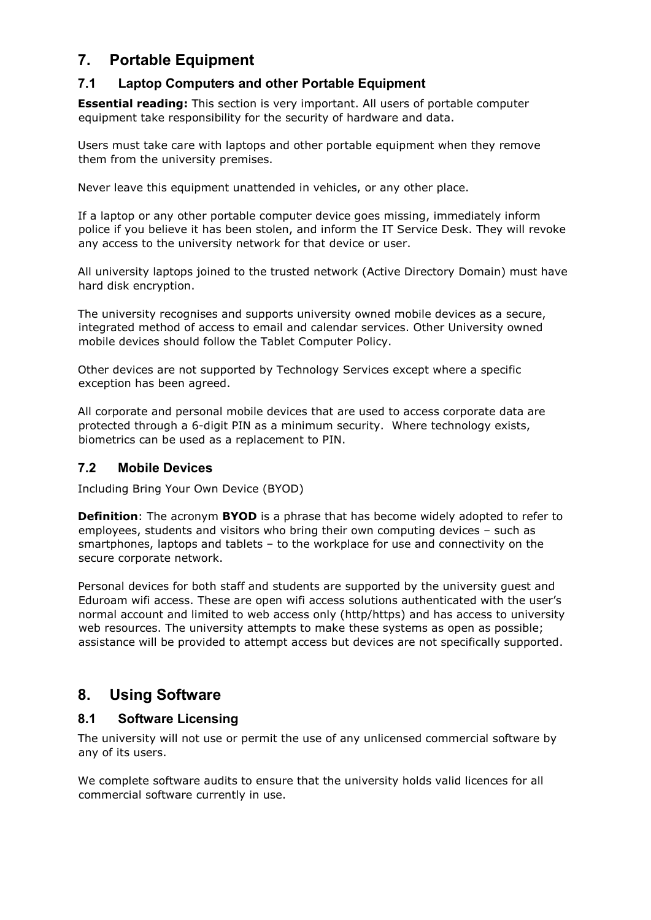# <span id="page-10-0"></span>**7. Portable Equipment**

# <span id="page-10-1"></span>**7.1 Laptop Computers and other Portable Equipment**

**Essential reading:** This section is very important. All users of portable computer equipment take responsibility for the security of hardware and data.

Users must take care with laptops and other portable equipment when they remove them from the university premises.

Never leave this equipment unattended in vehicles, or any other place.

If a laptop or any other portable computer device goes missing, immediately inform police if you believe it has been stolen, and inform the IT Service Desk. They will revoke any access to the university network for that device or user.

All university laptops joined to the trusted network (Active Directory Domain) must have hard disk encryption.

The university recognises and supports university owned mobile devices as a secure, integrated method of access to email and calendar services. Other University owned mobile devices should follow the Tablet Computer Polic[y.](http://docs.cumbria.ac.uk/Public/ICTS/Documents/Policies/TabletComputerPolicy.pdf)

Other devices are not supported by Technology Services except where a specific exception has been agreed.

All corporate and personal mobile devices that are used to access corporate data are protected through a 6-digit PIN as a minimum security. Where technology exists, biometrics can be used as a replacement to PIN.

## <span id="page-10-2"></span>**7.2 Mobile Devices**

Including Bring Your Own Device (BYOD)

**Definition**: The acronym **BYOD** is a phrase that has become widely adopted to refer to employees, students and visitors who bring their own computing devices – such as smartphones, laptops and tablets – to the workplace for use and connectivity on the secure corporate network.

Personal devices for both staff and students are supported by the university guest and Eduroam wifi access. These are open wifi access solutions authenticated with the user's normal account and limited to web access only (http/https) and has access to university web resources. The university attempts to make these systems as open as possible; assistance will be provided to attempt access but devices are not specifically supported.

# <span id="page-10-3"></span>**8. Using Software**

## <span id="page-10-4"></span>**8.1 Software Licensing**

The university will not use or permit the use of any unlicensed commercial software by any of its users.

We complete software audits to ensure that the university holds valid licences for all commercial software currently in use.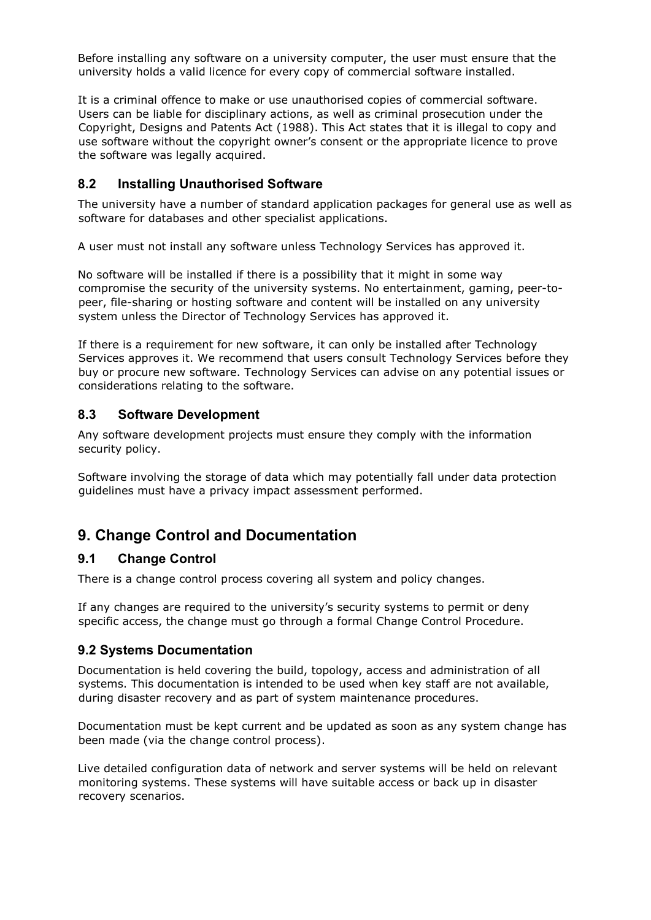Before installing any software on a university computer, the user must ensure that the university holds a valid licence for every copy of commercial software installed.

It is a criminal offence to make or use unauthorised copies of commercial software. Users can be liable for disciplinary actions, as well as criminal prosecution under the Copyright, Designs and Patents Act (1988). This Act states that it is illegal to copy and use software without the copyright owner's consent or the appropriate licence to prove the software was legally acquired.

# <span id="page-11-0"></span>**8.2 Installing Unauthorised Software**

The university have a number of standard application packages for general use as well as software for databases and other specialist applications.

A user must not install any software unless Technology Services has approved it.

No software will be installed if there is a possibility that it might in some way compromise the security of the university systems. No entertainment, gaming, peer-topeer, file-sharing or hosting software and content will be installed on any university system unless the Director of Technology Services has approved it.

If there is a requirement for new software, it can only be installed after Technology Services approves it. We recommend that users consult Technology Services before they buy or procure new software. Technology Services can advise on any potential issues or considerations relating to the software.

## <span id="page-11-1"></span>**8.3 Software Development**

Any software development projects must ensure they comply with the information security policy.

Software involving the storage of data which may potentially fall under data protection guidelines must have a privacy impact assessment performed.

# <span id="page-11-2"></span>**9. Change Control and Documentation**

## <span id="page-11-3"></span>**9.1 Change Control**

There is a [c](http://staff.cumbria.ac.uk/Services/IT/ServiceCatalogue/BusinessProcesses/ITChangeManagement.aspx)hange control process [c](http://staff.cumbria.ac.uk/Services/IT/ServiceCatalogue/BusinessProcesses/ITChangeManagement.aspx)overing all system and policy changes.

If any changes are required to the university's security systems to permit or deny specific access, the change must go through a formal Change Control Procedure.

## <span id="page-11-4"></span>**9.2 Systems Documentation**

Documentation is held covering the build, topology, access and administration of all systems. This documentation is intended to be used when key staff are not available, during disaster recovery and as part of system maintenance procedures.

Documentation must be kept current and be updated as soon as any system change has been made (via the change control process).

Live detailed configuration data of network and server systems will be held on relevant monitoring systems. These systems will have suitable access or back up in disaster recovery scenarios.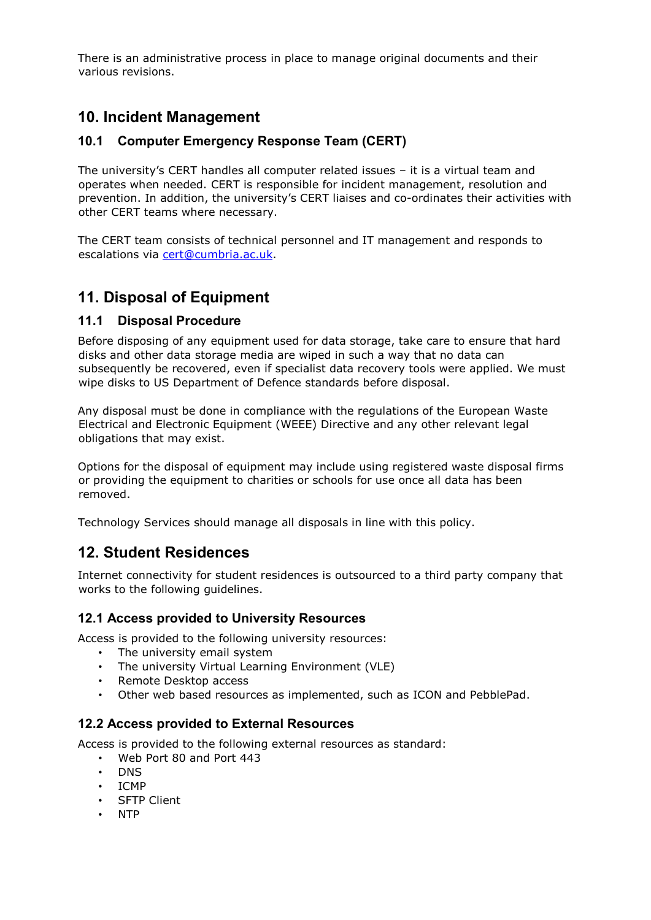There is an administrative process in place to manage original documents and their various revisions.

# <span id="page-12-0"></span>**10. Incident Management**

# <span id="page-12-1"></span>**10.1 Computer Emergency Response Team (CERT)**

The university's CERT handles all computer related issues – it is a virtual team and operates when needed. CERT is responsible for incident management, resolution and prevention. In addition, the university's CERT liaises and co-ordinates their activities with other CERT teams where necessary.

The CERT team consists of technical personnel and IT management and responds to escalations via cert@cumbria.ac.uk.

# <span id="page-12-2"></span>**11. Disposal of Equipment**

## <span id="page-12-3"></span>**11.1 Disposal Procedure**

Before disposing of any equipment used for data storage, take care to ensure that hard disks and other data storage media are wiped in such a way that no data can subsequently be recovered, even if specialist data recovery tools were applied. We must wipe disks to US Department of Defence standards before disposal.

Any disposal must be done in compliance with the regulations of the European Waste Electrical and Electronic Equipment (WEEE) Directive and any other relevant legal obligations that may exist.

Options for the disposal of equipment may include using registered waste disposal firms or providing the equipment to charities or schools for use once all data has been removed.

Technology Services should manage all disposals in line with this policy.

# <span id="page-12-4"></span>**12. Student Residences**

Internet connectivity for student residences is outsourced to a third party company that works to the following guidelines.

## <span id="page-12-5"></span>**12.1 Access provided to University Resources**

Access is provided to the following university resources:

- The university email system
- The university Virtual Learning Environment (VLE)
- Remote Desktop access
- Other web based resources as implemented, such as ICON and PebblePad.

## <span id="page-12-6"></span>**12.2 Access provided to External Resources**

Access is provided to the following external resources as standard:

- Web Port 80 and Port 443
- DNS
- ICMP
- SFTP Client
- NTP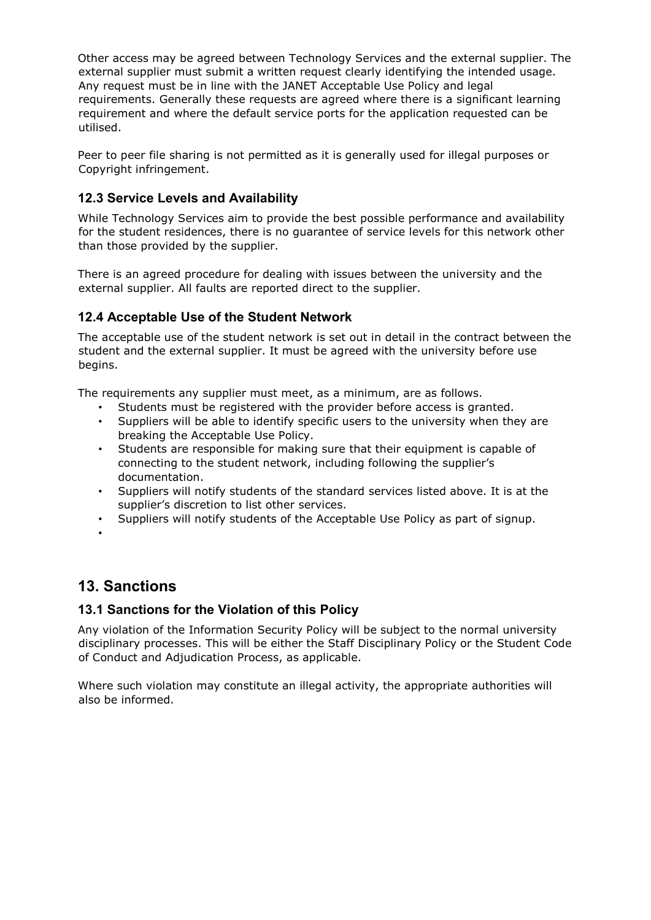Other access may be agreed between Technology Services and the external supplier. The external supplier must submit a written request clearly identifying the intended usage. Any request must be in line with the JANET Acceptable Use Policy and legal requirements. Generally these requests are agreed where there is a significant learning requirement and where the default service ports for the application requested can be utilised.

Peer to peer file sharing is not permitted as it is generally used for illegal purposes or Copyright infringement.

# <span id="page-13-0"></span>**12.3 Service Levels and Availability**

While Technology Services aim to provide the best possible performance and availability for the student residences, there is no guarantee of service levels for this network other than those provided by the supplier.

There is an agreed procedure for dealing with issues between the university and the external supplier. All faults are reported direct to the supplier.

# <span id="page-13-1"></span>**12.4 Acceptable Use of the Student Network**

The acceptable use of the student network is set out in detail in the contract between the student and the external supplier. It must be agreed with the university before use begins.

The requirements any supplier must meet, as a minimum, are as follows.

- Students must be registered with the provider before access is granted.
- Suppliers will be able to identify specific users to the university when they are breaking the Acceptable Use Policy.
- Students are responsible for making sure that their equipment is capable of connecting to the student network, including following the supplier's documentation.
- Suppliers will notify students of the standard services listed above. It is at the supplier's discretion to list other services.
- Suppliers will notify students of the Acceptable Use Policy as part of signup.
- •

# <span id="page-13-2"></span>**13. Sanctions**

## <span id="page-13-3"></span>**13.1 Sanctions for the Violation of this Policy**

Any violation of the Information Security Policy will be subject to the normal university disciplinary processes. This will be either the Staff Disciplinary Policy or the Student Code of Conduct and Adjudication Process, as applicable.

Where such violation may constitute an illegal activity, the appropriate authorities will also be informed.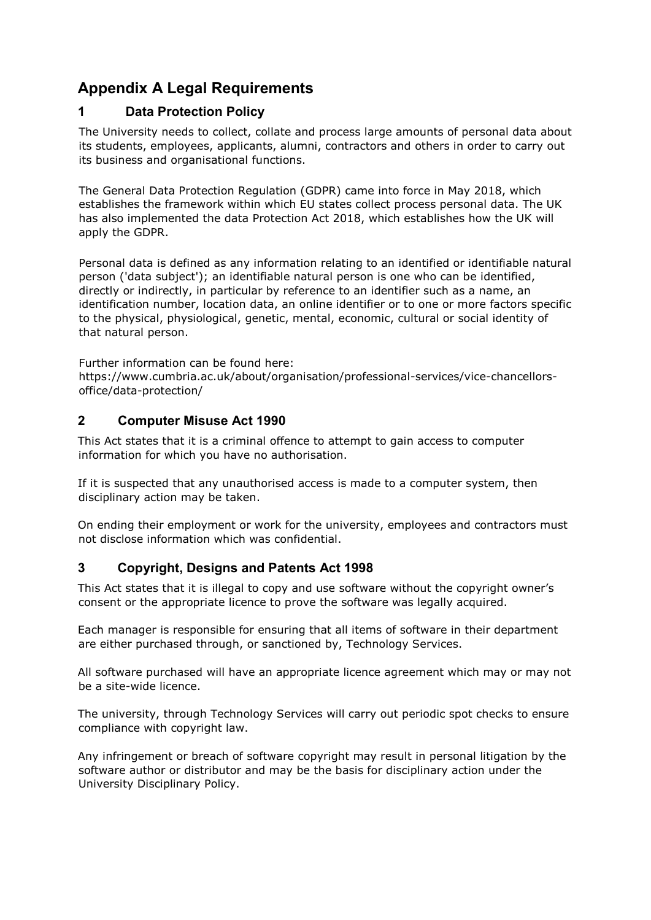# <span id="page-14-0"></span>**Appendix A Legal Requirements**

# <span id="page-14-1"></span>**1 Data Protection Policy**

The University needs to collect, collate and process large amounts of personal data about its students, employees, applicants, alumni, contractors and others in order to carry out its business and organisational functions.

The General Data Protection Regulation (GDPR) came into force in May 2018, which establishes the framework within which EU states collect process personal data. The UK has also implemented the data Protection Act 2018, which establishes how the UK will apply the GDPR.

Personal data is defined as any information relating to an identified or identifiable natural person ('data subject'); an identifiable natural person is one who can be identified, directly or indirectly, in particular by reference to an identifier such as a name, an identification number, location data, an online identifier or to one or more factors specific to the physical, physiological, genetic, mental, economic, cultural or social identity of that natural person.

Further information can be found here:

https://www.cumbria.ac.uk/about/organisation/professional-services/vice-chancellorsoffice/data-protection/

# <span id="page-14-2"></span>**2 Computer Misuse Act 1990**

This Act states that it is a criminal offence to attempt to gain access to computer information for which you have no authorisation.

If it is suspected that any unauthorised access is made to a computer system, then disciplinary action may be taken.

On ending their employment or work for the university, employees and contractors must not disclose information which was confidential.

# <span id="page-14-3"></span>**3 Copyright, Designs and Patents Act 1998**

This Act states that it is illegal to copy and use software without the copyright owner's consent or the appropriate licence to prove the software was legally acquired.

Each manager is responsible for ensuring that all items of software in their department are either purchased through, or sanctioned by, Technology Services.

All software purchased will have an appropriate licence agreement which may or may not be a site-wide licence.

The university, through Technology Services will carry out periodic spot checks to ensure compliance with copyright law.

Any infringement or breach of software copyright may result in personal litigation by the software author or distributor and may be the basis for disciplinary action under the University Disciplinary Policy.